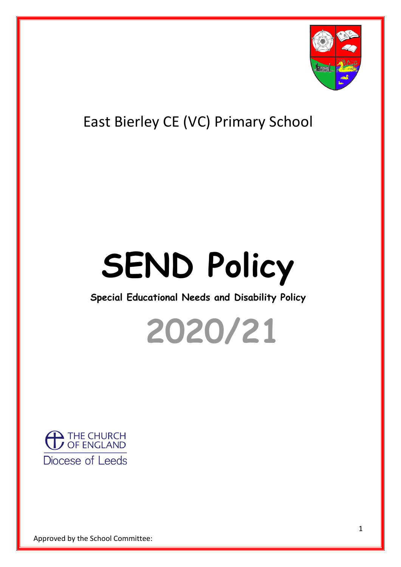

## East Bierley CE (VC) Primary School

# **SEND Policy**

### **Special Educational Needs and Disability Policy**



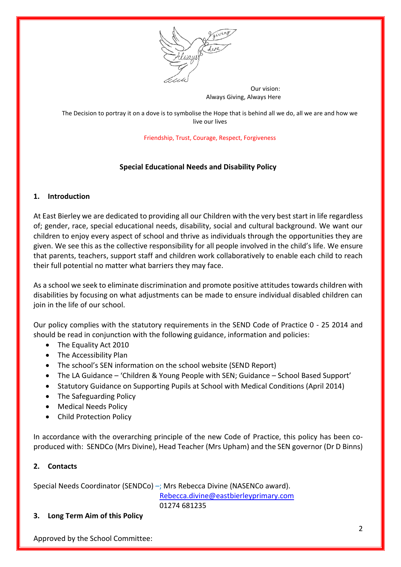

 Our vision: Always Giving, Always Here

The Decision to portray it on a dove is to symbolise the Hope that is behind all we do, all we are and how we live our lives

Friendship, Trust, Courage, Respect, Forgiveness

#### **Special Educational Needs and Disability Policy**

#### **1. Introduction**

At East Bierley we are dedicated to providing all our Children with the very best start in life regardless of; gender, race, special educational needs, disability, social and cultural background. We want our children to enjoy every aspect of school and thrive as individuals through the opportunities they are given. We see this as the collective responsibility for all people involved in the child's life. We ensure that parents, teachers, support staff and children work collaboratively to enable each child to reach their full potential no matter what barriers they may face.

As a school we seek to eliminate discrimination and promote positive attitudes towards children with disabilities by focusing on what adjustments can be made to ensure individual disabled children can join in the life of our school.

Our policy complies with the statutory requirements in the SEND Code of Practice 0 - 25 2014 and should be read in conjunction with the following guidance, information and policies:

- The Equality Act 2010
- The Accessibility Plan
- The school's SEN information on the school website (SEND Report)
- The LA Guidance 'Children & Young People with SEN; Guidance School Based Support'
- Statutory Guidance on Supporting Pupils at School with Medical Conditions (April 2014)
- The Safeguarding Policy
- Medical Needs Policy
- Child Protection Policy

In accordance with the overarching principle of the new Code of Practice, this policy has been coproduced with: SENDCo (Mrs Divine), Head Teacher (Mrs Upham) and the SEN governor (Dr D Binns)

#### **2. Contacts**

Special Needs Coordinator (SENDCo) –; Mrs Rebecca Divine (NASENCo award).

[Rebecca.divine@eastbierleyprimary.com](mailto:Rebecca.divine@eastbierleyprimary.com)

01274 681235

#### **3. Long Term Aim of this Policy**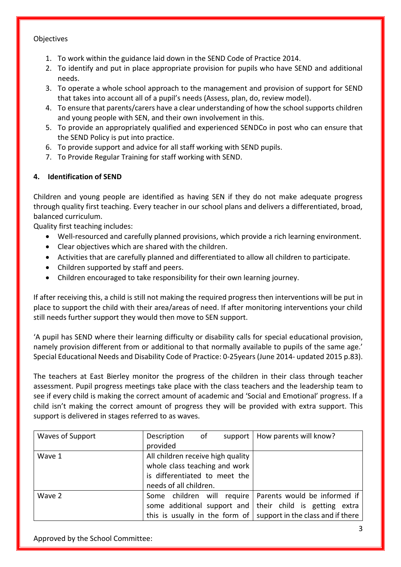#### **Objectives**

- 1. To work within the guidance laid down in the SEND Code of Practice 2014.
- 2. To identify and put in place appropriate provision for pupils who have SEND and additional needs.
- 3. To operate a whole school approach to the management and provision of support for SEND that takes into account all of a pupil's needs (Assess, plan, do, review model).
- 4. To ensure that parents/carers have a clear understanding of how the school supports children and young people with SEN, and their own involvement in this.
- 5. To provide an appropriately qualified and experienced SENDCo in post who can ensure that the SEND Policy is put into practice.
- 6. To provide support and advice for all staff working with SEND pupils.
- 7. To Provide Regular Training for staff working with SEND.

#### **4. Identification of SEND**

Children and young people are identified as having SEN if they do not make adequate progress through quality first teaching. Every teacher in our school plans and delivers a differentiated, broad, balanced curriculum.

Quality first teaching includes:

- Well-resourced and carefully planned provisions, which provide a rich learning environment.
- Clear objectives which are shared with the children.
- Activities that are carefully planned and differentiated to allow all children to participate.
- Children supported by staff and peers.
- Children encouraged to take responsibility for their own learning journey.

If after receiving this, a child is still not making the required progress then interventions will be put in place to support the child with their area/areas of need. If after monitoring interventions your child still needs further support they would then move to SEN support.

'A pupil has SEND where their learning difficulty or disability calls for special educational provision, namely provision different from or additional to that normally available to pupils of the same age.' Special Educational Needs and Disability Code of Practice: 0-25years (June 2014- updated 2015 p.83).

The teachers at East Bierley monitor the progress of the children in their class through teacher assessment. Pupil progress meetings take place with the class teachers and the leadership team to see if every child is making the correct amount of academic and 'Social and Emotional' progress. If a child isn't making the correct amount of progress they will be provided with extra support. This support is delivered in stages referred to as waves.

| Waves of Support | of<br>Description                                                        | support   How parents will know?                          |  |
|------------------|--------------------------------------------------------------------------|-----------------------------------------------------------|--|
|                  | provided                                                                 |                                                           |  |
| Wave 1           | All children receive high quality                                        |                                                           |  |
|                  | whole class teaching and work                                            |                                                           |  |
|                  | is differentiated to meet the                                            |                                                           |  |
|                  | needs of all children.                                                   |                                                           |  |
| Wave 2           |                                                                          | Some children will require   Parents would be informed if |  |
|                  | some additional support and their child is getting extra                 |                                                           |  |
|                  | this is usually in the form of $\vert$ support in the class and if there |                                                           |  |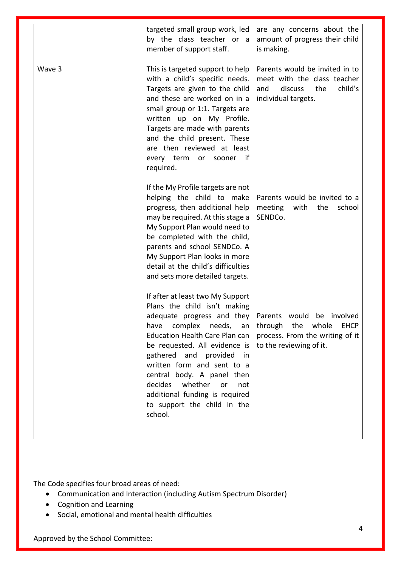|        | targeted small group work, led<br>by the class teacher or a<br>member of support staff.                                                                                                                                                                                                                                                                                                                            | are any concerns about the<br>amount of progress their child<br>is making.                                                     |
|--------|--------------------------------------------------------------------------------------------------------------------------------------------------------------------------------------------------------------------------------------------------------------------------------------------------------------------------------------------------------------------------------------------------------------------|--------------------------------------------------------------------------------------------------------------------------------|
| Wave 3 | This is targeted support to help<br>with a child's specific needs.<br>Targets are given to the child<br>and these are worked on in a<br>small group or 1:1. Targets are<br>written up on My Profile.<br>Targets are made with parents<br>and the child present. These<br>are then reviewed at least<br>if<br>every term<br>or<br>sooner<br>required.                                                               | Parents would be invited in to<br>meet with the class teacher<br>discuss<br>the<br>child's<br>and<br>individual targets.       |
|        | If the My Profile targets are not<br>helping the child to make<br>progress, then additional help<br>may be required. At this stage a<br>My Support Plan would need to<br>be completed with the child,<br>parents and school SENDCo. A<br>My Support Plan looks in more<br>detail at the child's difficulties<br>and sets more detailed targets.                                                                    | Parents would be invited to a<br>with<br>the<br>school<br>meeting<br>SENDCo.                                                   |
|        | If after at least two My Support<br>Plans the child isn't making<br>adequate progress and they<br>complex needs,<br>have<br>an<br><b>Education Health Care Plan can</b><br>be requested. All evidence is<br>gathered and provided<br>in<br>written form and sent to a<br>central body. A panel then<br>decides<br>whether<br>or<br>not<br>additional funding is required<br>to support the child in the<br>school. | Parents would<br>be involved<br>through the whole<br><b>EHCP</b><br>process. From the writing of it<br>to the reviewing of it. |

The Code specifies four broad areas of need:

- Communication and Interaction (including Autism Spectrum Disorder)
- Cognition and Learning
- Social, emotional and mental health difficulties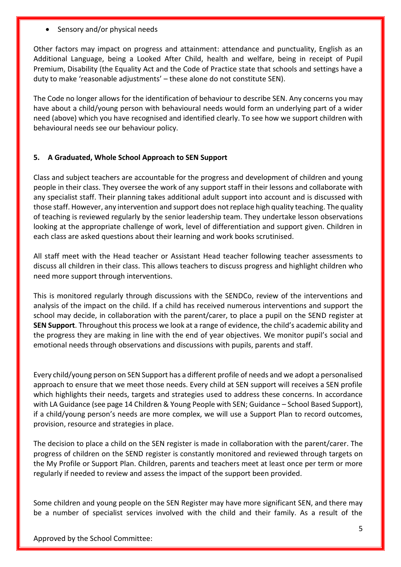Sensory and/or physical needs

Other factors may impact on progress and attainment: attendance and punctuality, English as an Additional Language, being a Looked After Child, health and welfare, being in receipt of Pupil Premium, Disability (the Equality Act and the Code of Practice state that schools and settings have a duty to make 'reasonable adjustments' – these alone do not constitute SEN).

The Code no longer allows for the identification of behaviour to describe SEN. Any concerns you may have about a child/young person with behavioural needs would form an underlying part of a wider need (above) which you have recognised and identified clearly. To see how we support children with behavioural needs see our behaviour policy.

#### **5. A Graduated, Whole School Approach to SEN Support**

Class and subject teachers are accountable for the progress and development of children and young people in their class. They oversee the work of any support staff in their lessons and collaborate with any specialist staff. Their planning takes additional adult support into account and is discussed with those staff. However, any intervention and support does not replace high quality teaching. The quality of teaching is reviewed regularly by the senior leadership team. They undertake lesson observations looking at the appropriate challenge of work, level of differentiation and support given. Children in each class are asked questions about their learning and work books scrutinised.

All staff meet with the Head teacher or Assistant Head teacher following teacher assessments to discuss all children in their class. This allows teachers to discuss progress and highlight children who need more support through interventions.

This is monitored regularly through discussions with the SENDCo, review of the interventions and analysis of the impact on the child. If a child has received numerous interventions and support the school may decide, in collaboration with the parent/carer, to place a pupil on the SEND register at **SEN Support**. Throughout this process we look at a range of evidence, the child's academic ability and the progress they are making in line with the end of year objectives. We monitor pupil's social and emotional needs through observations and discussions with pupils, parents and staff.

Every child/young person on SEN Support has a different profile of needs and we adopt a personalised approach to ensure that we meet those needs. Every child at SEN support will receives a SEN profile which highlights their needs, targets and strategies used to address these concerns. In accordance with LA Guidance (see page 14 Children & Young People with SEN; Guidance – School Based Support), if a child/young person's needs are more complex, we will use a Support Plan to record outcomes, provision, resource and strategies in place.

The decision to place a child on the SEN register is made in collaboration with the parent/carer. The progress of children on the SEND register is constantly monitored and reviewed through targets on the My Profile or Support Plan. Children, parents and teachers meet at least once per term or more regularly if needed to review and assess the impact of the support been provided.

Some children and young people on the SEN Register may have more significant SEN, and there may be a number of specialist services involved with the child and their family. As a result of the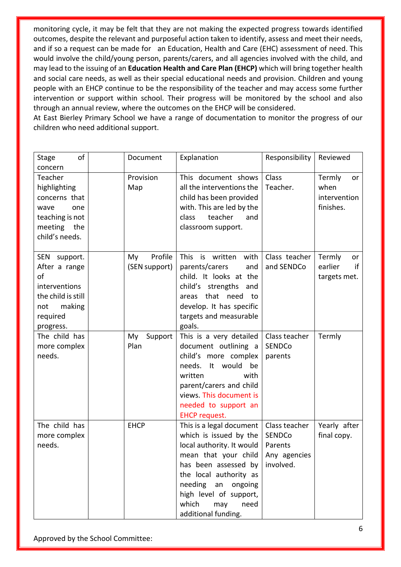monitoring cycle, it may be felt that they are not making the expected progress towards identified outcomes, despite the relevant and purposeful action taken to identify, assess and meet their needs, and if so a request can be made for an Education, Health and Care (EHC) assessment of need. This would involve the child/young person, parents/carers, and all agencies involved with the child, and may lead to the issuing of an **Education Health and Care Plan (EHCP)** which will bring together health and social care needs, as well as their special educational needs and provision. Children and young people with an EHCP continue to be the responsibility of the teacher and may access some further intervention or support within school. Their progress will be monitored by the school and also through an annual review, where the outcomes on the EHCP will be considered.

At East Bierley Primary School we have a range of documentation to monitor the progress of our children who need additional support.

| of<br><b>Stage</b><br>concern                                                                                        | Document                       | Explanation                                                                                                                                                                                                                                                   | Responsibility                                                         | Reviewed                                          |
|----------------------------------------------------------------------------------------------------------------------|--------------------------------|---------------------------------------------------------------------------------------------------------------------------------------------------------------------------------------------------------------------------------------------------------------|------------------------------------------------------------------------|---------------------------------------------------|
| Teacher<br>highlighting<br>concerns that<br>one<br>wave<br>teaching is not<br>meeting the<br>child's needs.          | Provision<br>Map               | This document shows<br>all the interventions the<br>child has been provided<br>with. This are led by the<br>teacher<br>class<br>and<br>classroom support.                                                                                                     | Class<br>Teacher.                                                      | Termly<br>or<br>when<br>intervention<br>finishes. |
| SEN support.<br>After a range<br>of<br>interventions<br>the child is still<br>making<br>not<br>required<br>progress. | Profile<br>My<br>(SEN support) | This is written<br>with<br>and<br>parents/carers<br>child. It looks at the<br>child's strengths<br>and<br>areas that need<br>to<br>develop. It has specific<br>targets and measurable<br>goals.                                                               | Class teacher<br>and SENDCo                                            | Termly<br>or<br>earlier<br>if<br>targets met.     |
| The child has<br>more complex<br>needs.                                                                              | Support<br>My<br>Plan          | This is a very detailed<br>document outlining a<br>child's more complex<br>needs. It would<br>be<br>written<br>with<br>parent/carers and child<br>views. This document is<br>needed to support an<br><b>EHCP request.</b>                                     | Class teacher<br>SENDCo<br>parents                                     | Termly                                            |
| The child has<br>more complex<br>needs.                                                                              | <b>EHCP</b>                    | This is a legal document  <br>which is issued by the<br>local authority. It would<br>mean that your child<br>has been assessed by<br>the local authority as<br>needing an<br>ongoing<br>high level of support,<br>which<br>may<br>need<br>additional funding. | Class teacher<br><b>SENDCo</b><br>Parents<br>Any agencies<br>involved. | Yearly after<br>final copy.                       |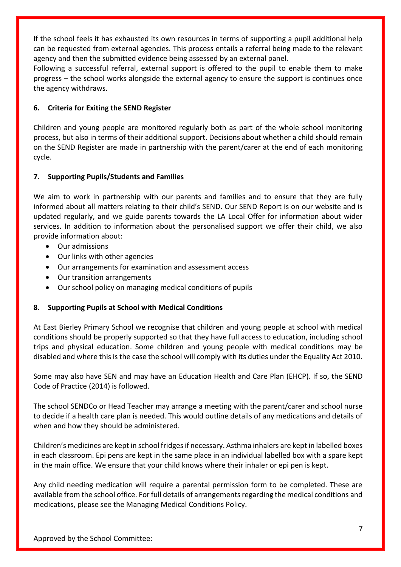If the school feels it has exhausted its own resources in terms of supporting a pupil additional help can be requested from external agencies. This process entails a referral being made to the relevant agency and then the submitted evidence being assessed by an external panel.

Following a successful referral, external support is offered to the pupil to enable them to make progress – the school works alongside the external agency to ensure the support is continues once the agency withdraws.

#### **6. Criteria for Exiting the SEND Register**

Children and young people are monitored regularly both as part of the whole school monitoring process, but also in terms of their additional support. Decisions about whether a child should remain on the SEND Register are made in partnership with the parent/carer at the end of each monitoring cycle.

#### **7. Supporting Pupils/Students and Families**

We aim to work in partnership with our parents and families and to ensure that they are fully informed about all matters relating to their child's SEND. Our SEND Report is on our website and is updated regularly, and we guide parents towards the LA Local Offer for information about wider services. In addition to information about the personalised support we offer their child, we also provide information about:

- Our admissions
- Our links with other agencies
- Our arrangements for examination and assessment access
- Our transition arrangements
- Our school policy on managing medical conditions of pupils

#### **8. Supporting Pupils at School with Medical Conditions**

At East Bierley Primary School we recognise that children and young people at school with medical conditions should be properly supported so that they have full access to education, including school trips and physical education. Some children and young people with medical conditions may be disabled and where this is the case the school will comply with its duties under the Equality Act 2010.

Some may also have SEN and may have an Education Health and Care Plan (EHCP). If so, the SEND Code of Practice (2014) is followed.

The school SENDCo or Head Teacher may arrange a meeting with the parent/carer and school nurse to decide if a health care plan is needed. This would outline details of any medications and details of when and how they should be administered.

Children's medicines are kept in school fridges if necessary. Asthma inhalers are kept in labelled boxes in each classroom. Epi pens are kept in the same place in an individual labelled box with a spare kept in the main office. We ensure that your child knows where their inhaler or epi pen is kept.

Any child needing medication will require a parental permission form to be completed. These are available from the school office. For full details of arrangements regarding the medical conditions and medications, please see the Managing Medical Conditions Policy.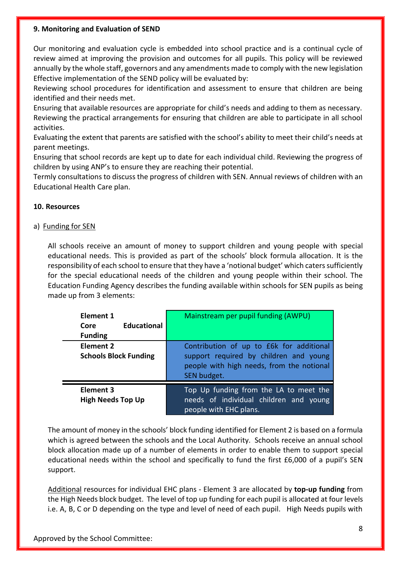#### **9. Monitoring and Evaluation of SEND**

Our monitoring and evaluation cycle is embedded into school practice and is a continual cycle of review aimed at improving the provision and outcomes for all pupils. This policy will be reviewed annually by the whole staff, governors and any amendments made to comply with the new legislation Effective implementation of the SEND policy will be evaluated by:

Reviewing school procedures for identification and assessment to ensure that children are being identified and their needs met.

Ensuring that available resources are appropriate for child's needs and adding to them as necessary. Reviewing the practical arrangements for ensuring that children are able to participate in all school activities.

Evaluating the extent that parents are satisfied with the school's ability to meet their child's needs at parent meetings.

Ensuring that school records are kept up to date for each individual child. Reviewing the progress of children by using ANP's to ensure they are reaching their potential.

Termly consultations to discuss the progress of children with SEN. Annual reviews of children with an Educational Health Care plan.

#### **10. Resources**

#### a) Funding for SEN

All schools receive an amount of money to support children and young people with special educational needs. This is provided as part of the schools' block formula allocation. It is the responsibility of each school to ensure that they have a 'notional budget' which caters sufficiently for the special educational needs of the children and young people within their school. The Education Funding Agency describes the funding available within schools for SEN pupils as being made up from 3 elements:

| Element 1<br><b>Educational</b><br>Core<br><b>Funding</b> | Mainstream per pupil funding (AWPU)                                                                                                            |
|-----------------------------------------------------------|------------------------------------------------------------------------------------------------------------------------------------------------|
| Element 2<br><b>Schools Block Funding</b>                 | Contribution of up to £6k for additional<br>support required by children and young<br>people with high needs, from the notional<br>SEN budget. |
| Element 3<br><b>High Needs Top Up</b>                     | Top Up funding from the LA to meet the<br>needs of individual children and young<br>people with EHC plans.                                     |

The amount of money in the schools' block funding identified for Element 2 is based on a formula which is agreed between the schools and the Local Authority. Schools receive an annual school block allocation made up of a number of elements in order to enable them to support special educational needs within the school and specifically to fund the first £6,000 of a pupil's SEN support.

Additional resources for individual EHC plans - Element 3 are allocated by **top-up funding** from the High Needs block budget. The level of top up funding for each pupil is allocated at four levels i.e. A, B, C or D depending on the type and level of need of each pupil. High Needs pupils with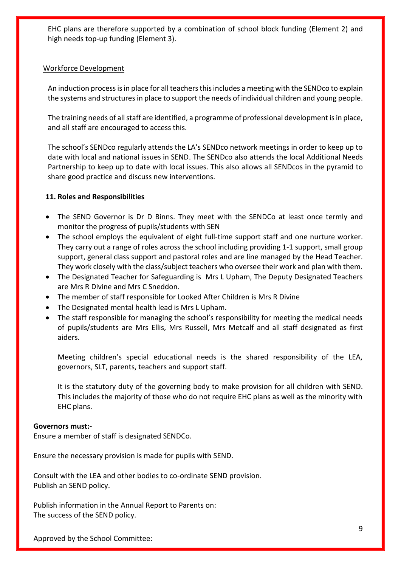EHC plans are therefore supported by a combination of school block funding (Element 2) and high needs top-up funding (Element 3).

#### Workforce Development

An induction process is in place for all teachers this includes a meeting with the SENDco to explain the systems and structures in place to support the needs of individual children and young people.

The training needs of all staff are identified, a programme of professional development is in place, and all staff are encouraged to access this.

The school's SENDco regularly attends the LA's SENDco network meetings in order to keep up to date with local and national issues in SEND. The SENDco also attends the local Additional Needs Partnership to keep up to date with local issues. This also allows all SENDcos in the pyramid to share good practice and discuss new interventions.

#### **11. Roles and Responsibilities**

- The SEND Governor is Dr D Binns. They meet with the SENDCo at least once termly and monitor the progress of pupils/students with SEN
- The school employs the equivalent of eight full-time support staff and one nurture worker. They carry out a range of roles across the school including providing 1-1 support, small group support, general class support and pastoral roles and are line managed by the Head Teacher. They work closely with the class/subject teachers who oversee their work and plan with them.
- The Designated Teacher for Safeguarding is Mrs L Upham, The Deputy Designated Teachers are Mrs R Divine and Mrs C Sneddon.
- The member of staff responsible for Looked After Children is Mrs R Divine
- The Designated mental health lead is Mrs L Upham.
- The staff responsible for managing the school's responsibility for meeting the medical needs of pupils/students are Mrs Ellis, Mrs Russell, Mrs Metcalf and all staff designated as first aiders.

Meeting children's special educational needs is the shared responsibility of the LEA, governors, SLT, parents, teachers and support staff.

It is the statutory duty of the governing body to make provision for all children with SEND. This includes the majority of those who do not require EHC plans as well as the minority with EHC plans.

#### **Governors must:-**

Ensure a member of staff is designated SENDCo.

Ensure the necessary provision is made for pupils with SEND.

Consult with the LEA and other bodies to co-ordinate SEND provision. Publish an SEND policy.

Publish information in the Annual Report to Parents on: The success of the SEND policy.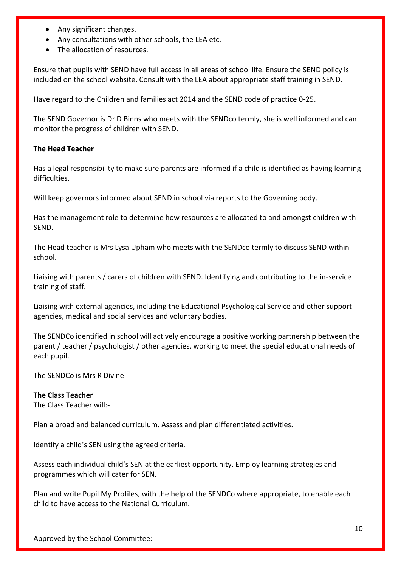- Any significant changes.
- Any consultations with other schools, the LEA etc.
- The allocation of resources.

Ensure that pupils with SEND have full access in all areas of school life. Ensure the SEND policy is included on the school website. Consult with the LEA about appropriate staff training in SEND.

Have regard to the Children and families act 2014 and the SEND code of practice 0-25.

The SEND Governor is Dr D Binns who meets with the SENDco termly, she is well informed and can monitor the progress of children with SEND.

#### **The Head Teacher**

Has a legal responsibility to make sure parents are informed if a child is identified as having learning difficulties.

Will keep governors informed about SEND in school via reports to the Governing body.

Has the management role to determine how resources are allocated to and amongst children with SEND.

The Head teacher is Mrs Lysa Upham who meets with the SENDco termly to discuss SEND within school.

Liaising with parents / carers of children with SEND. Identifying and contributing to the in-service training of staff.

Liaising with external agencies, including the Educational Psychological Service and other support agencies, medical and social services and voluntary bodies.

The SENDCo identified in school will actively encourage a positive working partnership between the parent / teacher / psychologist / other agencies, working to meet the special educational needs of each pupil.

The SENDCo is Mrs R Divine

#### **The Class Teacher**

The Class Teacher will:-

Plan a broad and balanced curriculum. Assess and plan differentiated activities.

Identify a child's SEN using the agreed criteria.

Assess each individual child's SEN at the earliest opportunity. Employ learning strategies and programmes which will cater for SEN.

Plan and write Pupil My Profiles, with the help of the SENDCo where appropriate, to enable each child to have access to the National Curriculum.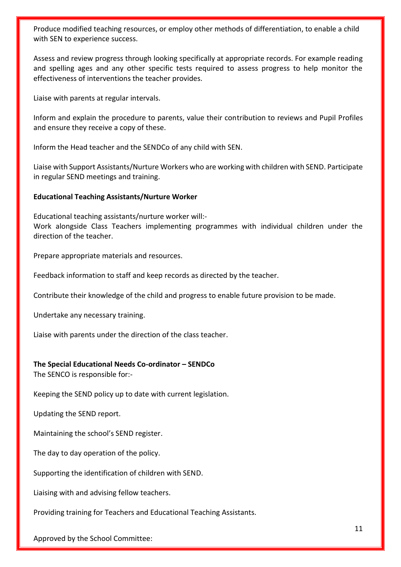Produce modified teaching resources, or employ other methods of differentiation, to enable a child with SEN to experience success.

Assess and review progress through looking specifically at appropriate records. For example reading and spelling ages and any other specific tests required to assess progress to help monitor the effectiveness of interventions the teacher provides.

Liaise with parents at regular intervals.

Inform and explain the procedure to parents, value their contribution to reviews and Pupil Profiles and ensure they receive a copy of these.

Inform the Head teacher and the SENDCo of any child with SEN.

Liaise with Support Assistants/Nurture Workers who are working with children with SEND. Participate in regular SEND meetings and training.

#### **Educational Teaching Assistants/Nurture Worker**

Educational teaching assistants/nurture worker will:- Work alongside Class Teachers implementing programmes with individual children under the direction of the teacher.

Prepare appropriate materials and resources.

Feedback information to staff and keep records as directed by the teacher.

Contribute their knowledge of the child and progress to enable future provision to be made.

Undertake any necessary training.

Liaise with parents under the direction of the class teacher.

#### **The Special Educational Needs Co-ordinator – SENDCo**

The SENCO is responsible for:-

Keeping the SEND policy up to date with current legislation.

Updating the SEND report.

Maintaining the school's SEND register.

The day to day operation of the policy.

Supporting the identification of children with SEND.

Liaising with and advising fellow teachers.

Providing training for Teachers and Educational Teaching Assistants.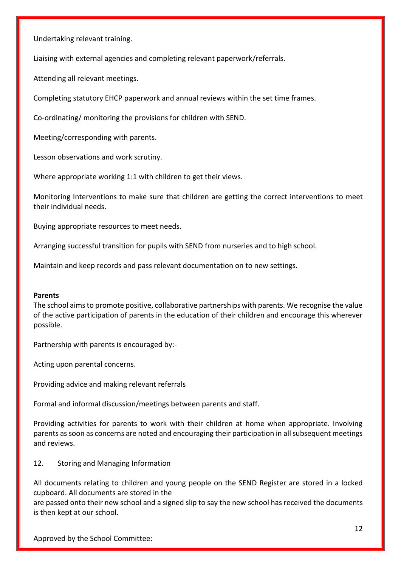Undertaking relevant training.

Liaising with external agencies and completing relevant paperwork/referrals.

Attending all relevant meetings.

Completing statutory EHCP paperwork and annual reviews within the set time frames.

Co-ordinating/ monitoring the provisions for children with SEND.

Meeting/corresponding with parents.

Lesson observations and work scrutiny.

Where appropriate working 1:1 with children to get their views.

Monitoring Interventions to make sure that children are getting the correct interventions to meet their individual needs.

Buying appropriate resources to meet needs.

Arranging successful transition for pupils with SEND from nurseries and to high school.

Maintain and keep records and pass relevant documentation on to new settings.

#### **Parents**

The school aims to promote positive, collaborative partnerships with parents. We recognise the value of the active participation of parents in the education of their children and encourage this wherever possible.

Partnership with parents is encouraged by:-

Acting upon parental concerns.

Providing advice and making relevant referrals

Formal and informal discussion/meetings between parents and staff.

Providing activities for parents to work with their children at home when appropriate. Involving parents as soon as concerns are noted and encouraging their participation in all subsequent meetings and reviews.

12. Storing and Managing Information

All documents relating to children and young people on the SEND Register are stored in a locked cupboard. All documents are stored in the

are passed onto their new school and a signed slip to say the new school has received the documents is then kept at our school.